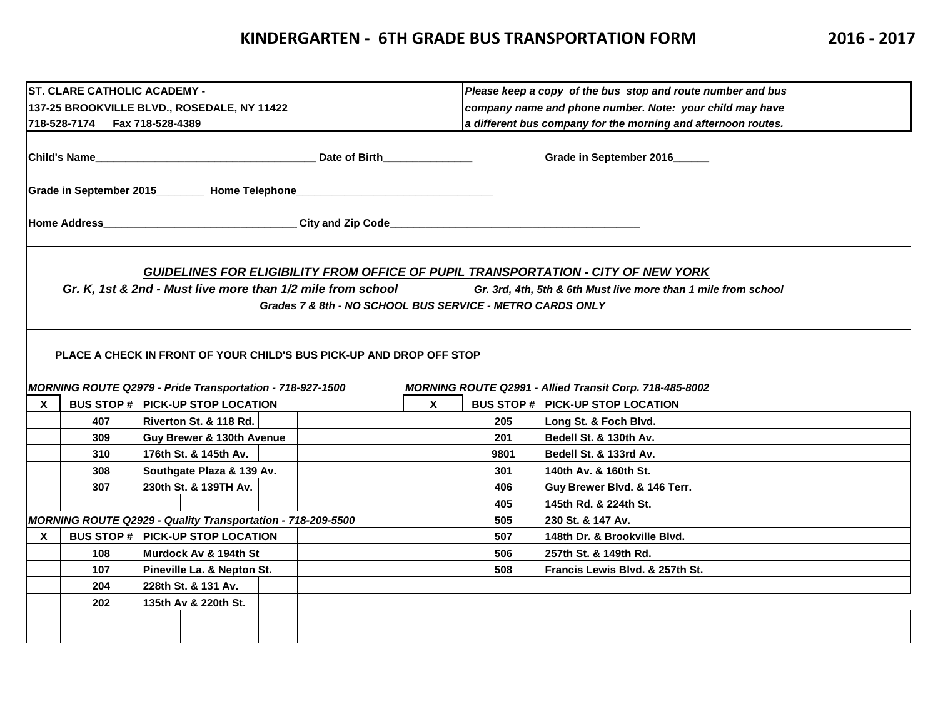## **KINDERGARTEN - 6TH GRADE BUS TRANSPORTATION FORM 2016 - 2017**

|                                                                              | ST. CLARE CATHOLIC ACADEMY -                                |                            |  |  |                                                                                  |              | Please keep a copy of the bus stop and route number and bus                                                               |                                                                                                                                                                                                                        |  |  |  |  |
|------------------------------------------------------------------------------|-------------------------------------------------------------|----------------------------|--|--|----------------------------------------------------------------------------------|--------------|---------------------------------------------------------------------------------------------------------------------------|------------------------------------------------------------------------------------------------------------------------------------------------------------------------------------------------------------------------|--|--|--|--|
|                                                                              | 137-25 BROOKVILLE BLVD., ROSEDALE, NY 11422                 |                            |  |  |                                                                                  |              | company name and phone number. Note: your child may have<br>a different bus company for the morning and afternoon routes. |                                                                                                                                                                                                                        |  |  |  |  |
|                                                                              | 718-528-7174    Fax 718-528-4389                            |                            |  |  |                                                                                  |              |                                                                                                                           |                                                                                                                                                                                                                        |  |  |  |  |
|                                                                              |                                                             |                            |  |  |                                                                                  |              |                                                                                                                           |                                                                                                                                                                                                                        |  |  |  |  |
| lChild's Name<br><u> 1990 - Johann Stoff, amerikansk politiker (d. 1980)</u> |                                                             |                            |  |  | Date of Birth <b>Exercise Services</b>                                           |              | Grade in September 2016_____                                                                                              |                                                                                                                                                                                                                        |  |  |  |  |
|                                                                              |                                                             |                            |  |  | Grade in September 2015_________ Home Telephone_________________________________ |              |                                                                                                                           |                                                                                                                                                                                                                        |  |  |  |  |
|                                                                              |                                                             |                            |  |  | Home Address_______________________________City and Zip Code____________________ |              |                                                                                                                           |                                                                                                                                                                                                                        |  |  |  |  |
|                                                                              |                                                             |                            |  |  | Grades 7 & 8th - NO SCHOOL BUS SERVICE - METRO CARDS ONLY                        |              |                                                                                                                           | <b>GUIDELINES FOR ELIGIBILITY FROM OFFICE OF PUPIL TRANSPORTATION - CITY OF NEW YORK</b><br>Gr. K, 1st & 2nd - Must live more than 1/2 mile from school Gr. 3rd, 4th, 5th & 6th Must live more than 1 mile from school |  |  |  |  |
|                                                                              | MORNING ROUTE Q2979 - Pride Transportation - 718-927-1500   |                            |  |  | PLACE A CHECK IN FRONT OF YOUR CHILD'S BUS PICK-UP AND DROP OFF STOP             |              |                                                                                                                           | MORNING ROUTE Q2991 - Allied Transit Corp. 718-485-8002                                                                                                                                                                |  |  |  |  |
| $\mathbf{x}$                                                                 | <b>BUS STOP # PICK-UP STOP LOCATION</b>                     |                            |  |  |                                                                                  | $\mathbf{x}$ |                                                                                                                           | <b>BUS STOP # PICK-UP STOP LOCATION</b>                                                                                                                                                                                |  |  |  |  |
|                                                                              | 407                                                         | Riverton St. & 118 Rd.     |  |  |                                                                                  |              | 205                                                                                                                       | Long St. & Foch Blvd.                                                                                                                                                                                                  |  |  |  |  |
|                                                                              | 309                                                         | Guy Brewer & 130th Avenue  |  |  |                                                                                  |              | 201                                                                                                                       | Bedell St. & 130th Av.                                                                                                                                                                                                 |  |  |  |  |
|                                                                              | 310                                                         | 176th St. & 145th Av.      |  |  |                                                                                  |              | 9801                                                                                                                      | Bedell St. & 133rd Av.                                                                                                                                                                                                 |  |  |  |  |
|                                                                              | 308                                                         | Southgate Plaza & 139 Av.  |  |  |                                                                                  |              | 301                                                                                                                       | 140th Av. & 160th St.                                                                                                                                                                                                  |  |  |  |  |
|                                                                              | 307                                                         | 230th St. & 139TH Av.      |  |  |                                                                                  |              | 406                                                                                                                       | Guy Brewer Blvd. & 146 Terr.                                                                                                                                                                                           |  |  |  |  |
|                                                                              |                                                             |                            |  |  |                                                                                  |              | 405                                                                                                                       | 145th Rd. & 224th St.                                                                                                                                                                                                  |  |  |  |  |
|                                                                              | MORNING ROUTE Q2929 - Quality Transportation - 718-209-5500 |                            |  |  |                                                                                  |              | 505                                                                                                                       | 230 St. & 147 Av.                                                                                                                                                                                                      |  |  |  |  |
| X                                                                            | <b>BUS STOP # PICK-UP STOP LOCATION</b>                     |                            |  |  |                                                                                  |              | 507                                                                                                                       | 148th Dr. & Brookville Blvd.                                                                                                                                                                                           |  |  |  |  |
|                                                                              | 108                                                         | lMurdock Av & 194th St     |  |  |                                                                                  |              | 506                                                                                                                       | 257th St. & 149th Rd.                                                                                                                                                                                                  |  |  |  |  |
|                                                                              | 107                                                         | Pineville La. & Nepton St. |  |  |                                                                                  |              | 508                                                                                                                       | Francis Lewis Blvd. & 257th St.                                                                                                                                                                                        |  |  |  |  |
|                                                                              | 204                                                         | 228th St. & 131 Av.        |  |  |                                                                                  |              |                                                                                                                           |                                                                                                                                                                                                                        |  |  |  |  |
|                                                                              | 202<br>135th Av & 220th St.                                 |                            |  |  |                                                                                  |              |                                                                                                                           |                                                                                                                                                                                                                        |  |  |  |  |
|                                                                              |                                                             |                            |  |  |                                                                                  |              |                                                                                                                           |                                                                                                                                                                                                                        |  |  |  |  |
|                                                                              |                                                             |                            |  |  |                                                                                  |              |                                                                                                                           |                                                                                                                                                                                                                        |  |  |  |  |